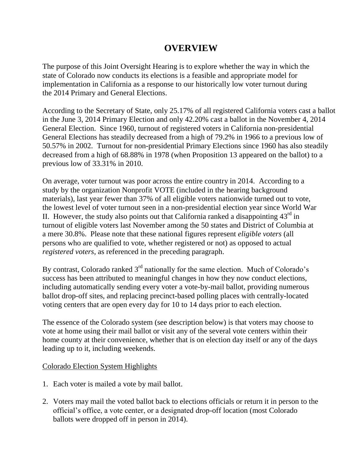## **OVERVIEW**

The purpose of this Joint Oversight Hearing is to explore whether the way in which the state of Colorado now conducts its elections is a feasible and appropriate model for implementation in California as a response to our historically low voter turnout during the 2014 Primary and General Elections.

According to the Secretary of State, only 25.17% of all registered California voters cast a ballot in the June 3, 2014 Primary Election and only 42.20% cast a ballot in the November 4, 2014 General Election. Since 1960, turnout of registered voters in California non-presidential General Elections has steadily decreased from a high of 79.2% in 1966 to a previous low of 50.57% in 2002. Turnout for non-presidential Primary Elections since 1960 has also steadily decreased from a high of 68.88% in 1978 (when Proposition 13 appeared on the ballot) to a previous low of 33.31% in 2010.

On average, voter turnout was poor across the entire country in 2014. According to a study by the organization Nonprofit VOTE (included in the hearing background materials), last year fewer than 37% of all eligible voters nationwide turned out to vote, the lowest level of voter turnout seen in a non-presidential election year since World War II. However, the study also points out that California ranked a disappointing  $43<sup>rd</sup>$  in turnout of eligible voters last November among the 50 states and District of Columbia at a mere 30.8%. Please note that these national figures represent *eligible voters* (all persons who are qualified to vote, whether registered or not) as opposed to actual *registered voters*, as referenced in the preceding paragraph.

By contrast, Colorado ranked  $3<sup>rd</sup>$  nationally for the same election. Much of Colorado's success has been attributed to meaningful changes in how they now conduct elections, including automatically sending every voter a vote-by-mail ballot, providing numerous ballot drop-off sites, and replacing precinct-based polling places with centrally-located voting centers that are open every day for 10 to 14 days prior to each election.

The essence of the Colorado system (see description below) is that voters may choose to vote at home using their mail ballot or visit any of the several vote centers within their home county at their convenience, whether that is on election day itself or any of the days leading up to it, including weekends.

## Colorado Election System Highlights

- 1. Each voter is mailed a vote by mail ballot.
- 2. Voters may mail the voted ballot back to elections officials or return it in person to the official's office, a vote center, or a designated drop-off location (most Colorado ballots were dropped off in person in 2014).